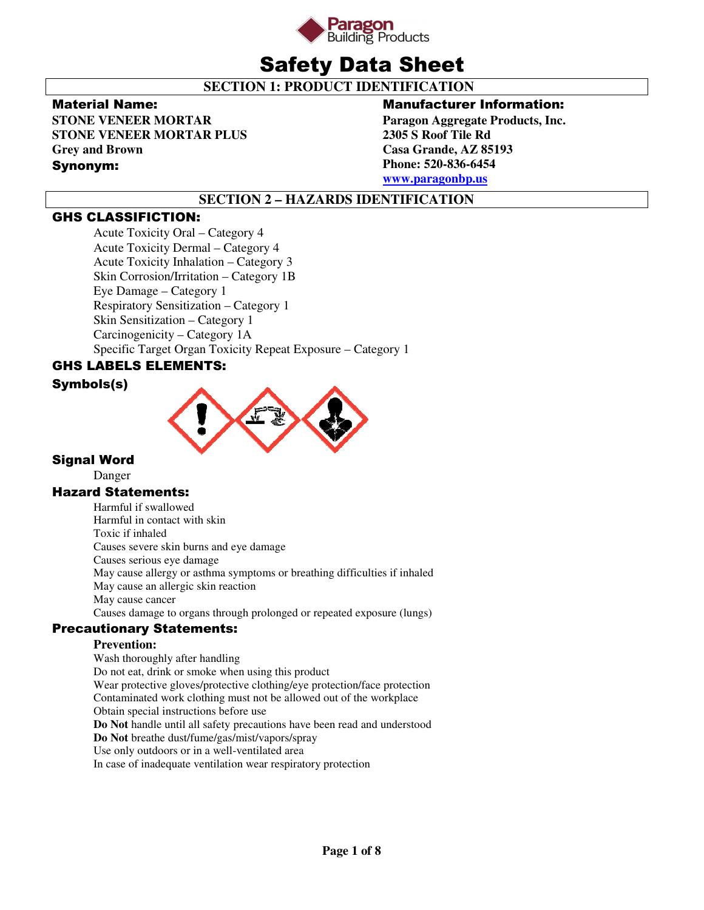

# Safety Data Sheet

 **SECTION 1: PRODUCT IDENTIFICATION** 

### Material Name:

**STONE VENEER MORTAR STONE VENEER MORTAR PLUS Grey and Brown** 

### Synonym:

### Manufacturer Information:

**Paragon Aggregate Products, Inc. 2305 S Roof Tile Rd Casa Grande, AZ 85193 Phone: 520-836-6454 www.paragonbp.us**

# **SECTION 2 – HAZARDS IDENTIFICATION**

# GHS CLASSIFICTION:

Acute Toxicity Oral – Category 4 Acute Toxicity Dermal – Category 4 Acute Toxicity Inhalation – Category 3 Skin Corrosion/Irritation – Category 1B Eye Damage – Category 1 Respiratory Sensitization – Category 1 Skin Sensitization – Category 1 Carcinogenicity – Category 1A Specific Target Organ Toxicity Repeat Exposure – Category 1

# GHS LABELS ELEMENTS:

### Symbols(s)



### Signal Word

Danger

### Hazard Statements:

Harmful if swallowed Harmful in contact with skin Toxic if inhaled Causes severe skin burns and eye damage Causes serious eye damage May cause allergy or asthma symptoms or breathing difficulties if inhaled May cause an allergic skin reaction May cause cancer Causes damage to organs through prolonged or repeated exposure (lungs)

### Precautionary Statements:

### **Prevention:**

Wash thoroughly after handling Do not eat, drink or smoke when using this product Wear protective gloves/protective clothing/eye protection/face protection Contaminated work clothing must not be allowed out of the workplace Obtain special instructions before use **Do Not** handle until all safety precautions have been read and understood **Do Not** breathe dust/fume/gas/mist/vapors/spray Use only outdoors or in a well-ventilated area In case of inadequate ventilation wear respiratory protection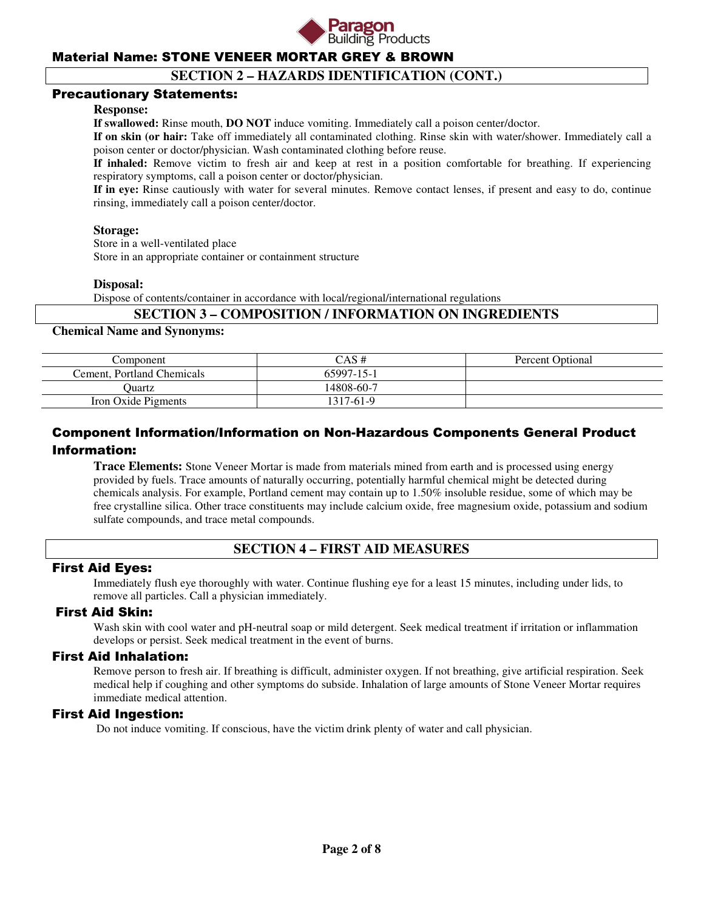

## **SECTION 2 – HAZARDS IDENTIFICATION (CONT.)**

### Precautionary Statements:

#### **Response:**

**If swallowed:** Rinse mouth, **DO NOT** induce vomiting. Immediately call a poison center/doctor.

**If on skin (or hair:** Take off immediately all contaminated clothing. Rinse skin with water/shower. Immediately call a poison center or doctor/physician. Wash contaminated clothing before reuse.

**If inhaled:** Remove victim to fresh air and keep at rest in a position comfortable for breathing. If experiencing respiratory symptoms, call a poison center or doctor/physician.

**If in eye:** Rinse cautiously with water for several minutes. Remove contact lenses, if present and easy to do, continue rinsing, immediately call a poison center/doctor.

#### **Storage:**

 Store in a well-ventilated place Store in an appropriate container or containment structure

#### **Disposal:**

Dispose of contents/container in accordance with local/regional/international regulations

### **SECTION 3 – COMPOSITION / INFORMATION ON INGREDIENTS**

#### **Chemical Name and Synonyms:**

| Component                  | CAS #      | <b>Percent Optional</b> |
|----------------------------|------------|-------------------------|
| Cement. Portland Chemicals | 65997-15-1 |                         |
| Juartz                     | 14808-60-7 |                         |
| Iron Oxide Pigments        | 1317-61-9  |                         |

# Component Information/Information on Non-Hazardous Components General Product Information:

**Trace Elements:** Stone Veneer Mortar is made from materials mined from earth and is processed using energy provided by fuels. Trace amounts of naturally occurring, potentially harmful chemical might be detected during chemicals analysis. For example, Portland cement may contain up to 1.50% insoluble residue, some of which may be free crystalline silica. Other trace constituents may include calcium oxide, free magnesium oxide, potassium and sodium sulfate compounds, and trace metal compounds.

# **SECTION 4 – FIRST AID MEASURES**

### First Aid Eyes:

Immediately flush eye thoroughly with water. Continue flushing eye for a least 15 minutes, including under lids, to remove all particles. Call a physician immediately.

### First Aid Skin:

Wash skin with cool water and pH-neutral soap or mild detergent. Seek medical treatment if irritation or inflammation develops or persist. Seek medical treatment in the event of burns.

### First Aid Inhalation:

Remove person to fresh air. If breathing is difficult, administer oxygen. If not breathing, give artificial respiration. Seek medical help if coughing and other symptoms do subside. Inhalation of large amounts of Stone Veneer Mortar requires immediate medical attention.

### First Aid Ingestion:

Do not induce vomiting. If conscious, have the victim drink plenty of water and call physician.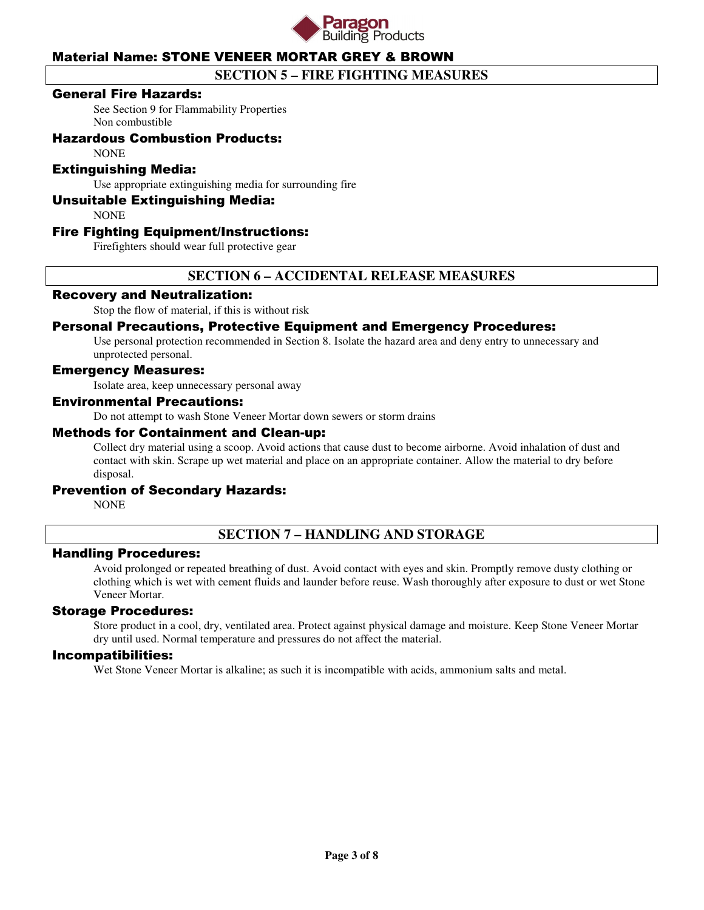

# **SECTION 5 – FIRE FIGHTING MEASURES**

### General Fire Hazards:

See Section 9 for Flammability Properties Non combustible

### Hazardous Combustion Products:

**NONE** 

### Extinguishing Media:

Use appropriate extinguishing media for surrounding fire

### Unsuitable Extinguishing Media:

**NONE** 

### Fire Fighting Equipment/Instructions:

Firefighters should wear full protective gear

### **SECTION 6 – ACCIDENTAL RELEASE MEASURES**

### Recovery and Neutralization:

Stop the flow of material, if this is without risk

### Personal Precautions, Protective Equipment and Emergency Procedures:

Use personal protection recommended in Section 8. Isolate the hazard area and deny entry to unnecessary and unprotected personal.

### Emergency Measures:

Isolate area, keep unnecessary personal away

### Environmental Precautions:

Do not attempt to wash Stone Veneer Mortar down sewers or storm drains

#### Methods for Containment and Clean-up:

Collect dry material using a scoop. Avoid actions that cause dust to become airborne. Avoid inhalation of dust and contact with skin. Scrape up wet material and place on an appropriate container. Allow the material to dry before disposal.

### Prevention of Secondary Hazards:

**NONE** 

### **SECTION 7 – HANDLING AND STORAGE**

### Handling Procedures:

Avoid prolonged or repeated breathing of dust. Avoid contact with eyes and skin. Promptly remove dusty clothing or clothing which is wet with cement fluids and launder before reuse. Wash thoroughly after exposure to dust or wet Stone Veneer Mortar.

### Storage Procedures:

Store product in a cool, dry, ventilated area. Protect against physical damage and moisture. Keep Stone Veneer Mortar dry until used. Normal temperature and pressures do not affect the material.

#### Incompatibilities:

Wet Stone Veneer Mortar is alkaline; as such it is incompatible with acids, ammonium salts and metal.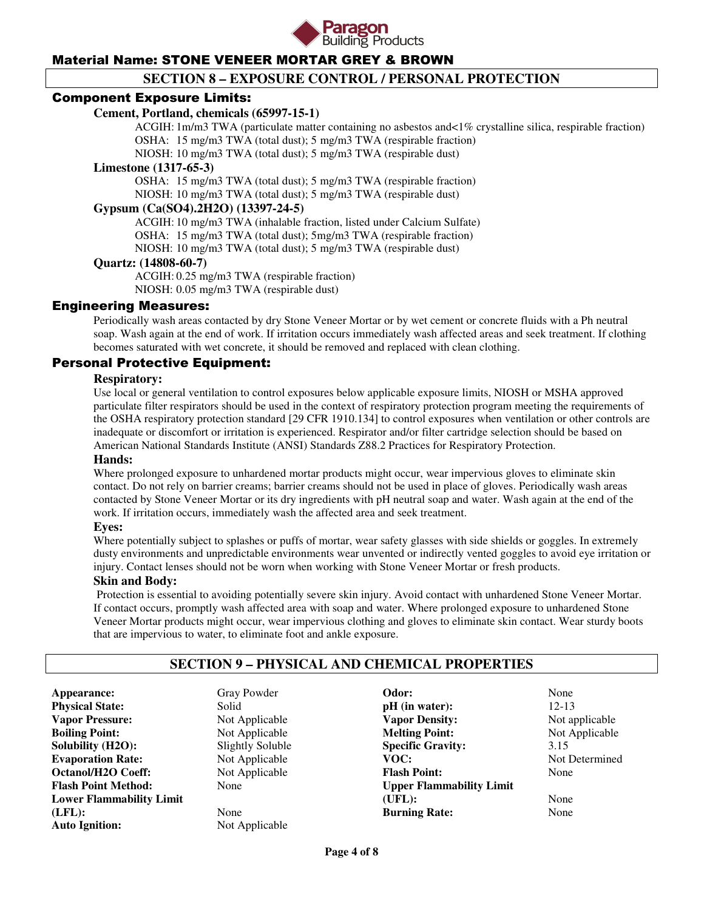

# **SECTION 8 – EXPOSURE CONTROL / PERSONAL PROTECTION**

### Component Exposure Limits:

### **Cement, Portland, chemicals (65997-15-1)**

 ACGIH: 1m/m3 TWA (particulate matter containing no asbestos and<1% crystalline silica, respirable fraction) OSHA: 15 mg/m3 TWA (total dust); 5 mg/m3 TWA (respirable fraction)

NIOSH: 10 mg/m3 TWA (total dust); 5 mg/m3 TWA (respirable dust)

#### **Limestone (1317-65-3)**

 OSHA: 15 mg/m3 TWA (total dust); 5 mg/m3 TWA (respirable fraction) NIOSH: 10 mg/m3 TWA (total dust); 5 mg/m3 TWA (respirable dust)

### **Gypsum (Ca(SO4).2H2O) (13397-24-5)**

 ACGIH: 10 mg/m3 TWA (inhalable fraction, listed under Calcium Sulfate) OSHA: 15 mg/m3 TWA (total dust); 5mg/m3 TWA (respirable fraction) NIOSH: 10 mg/m3 TWA (total dust); 5 mg/m3 TWA (respirable dust)

### **Quartz: (14808-60-7)**

 ACGIH: 0.25 mg/m3 TWA (respirable fraction) NIOSH: 0.05 mg/m3 TWA (respirable dust)

### Engineering Measures:

Periodically wash areas contacted by dry Stone Veneer Mortar or by wet cement or concrete fluids with a Ph neutral soap. Wash again at the end of work. If irritation occurs immediately wash affected areas and seek treatment. If clothing becomes saturated with wet concrete, it should be removed and replaced with clean clothing.

### Personal Protective Equipment:

### **Respiratory:**

Use local or general ventilation to control exposures below applicable exposure limits, NIOSH or MSHA approved particulate filter respirators should be used in the context of respiratory protection program meeting the requirements of the OSHA respiratory protection standard [29 CFR 1910.134] to control exposures when ventilation or other controls are inadequate or discomfort or irritation is experienced. Respirator and/or filter cartridge selection should be based on American National Standards Institute (ANSI) Standards Z88.2 Practices for Respiratory Protection.

### **Hands:**

Where prolonged exposure to unhardened mortar products might occur, wear impervious gloves to eliminate skin contact. Do not rely on barrier creams; barrier creams should not be used in place of gloves. Periodically wash areas contacted by Stone Veneer Mortar or its dry ingredients with pH neutral soap and water. Wash again at the end of the work. If irritation occurs, immediately wash the affected area and seek treatment.

#### **Eyes:**

Where potentially subject to splashes or puffs of mortar, wear safety glasses with side shields or goggles. In extremely dusty environments and unpredictable environments wear unvented or indirectly vented goggles to avoid eye irritation or injury. Contact lenses should not be worn when working with Stone Veneer Mortar or fresh products.

#### **Skin and Body:**

Protection is essential to avoiding potentially severe skin injury. Avoid contact with unhardened Stone Veneer Mortar. If contact occurs, promptly wash affected area with soap and water. Where prolonged exposure to unhardened Stone Veneer Mortar products might occur, wear impervious clothing and gloves to eliminate skin contact. Wear sturdy boots that are impervious to water, to eliminate foot and ankle exposure.

# **SECTION 9 – PHYSICAL AND CHEMICAL PROPERTIES**

**Appearance:** Gray Powder **Physical State:** Solid **Vapor Pressure:** Not Applicable **Boiling Point:** Not Applicable **Solubility (H2O):** Slightly Soluble **Evaporation Rate:** Not Applicable **Octanol/H2O Coeff:** Not Applicable **Flash Point Method:** None **Lower Flammability Limit (LFL):** None **Auto Ignition:** Not Applicable

**Odor:** None **pH** (in water): 12-13 **Vapor Density:** Not applicable **Melting Point:** Not Applicable **Specific Gravity:** 3.15<br> **VOC:** Not 1 **Flash Point:** None **Upper Flammability Limit (UFL):** None **Burning Rate:** None

**Not Determined**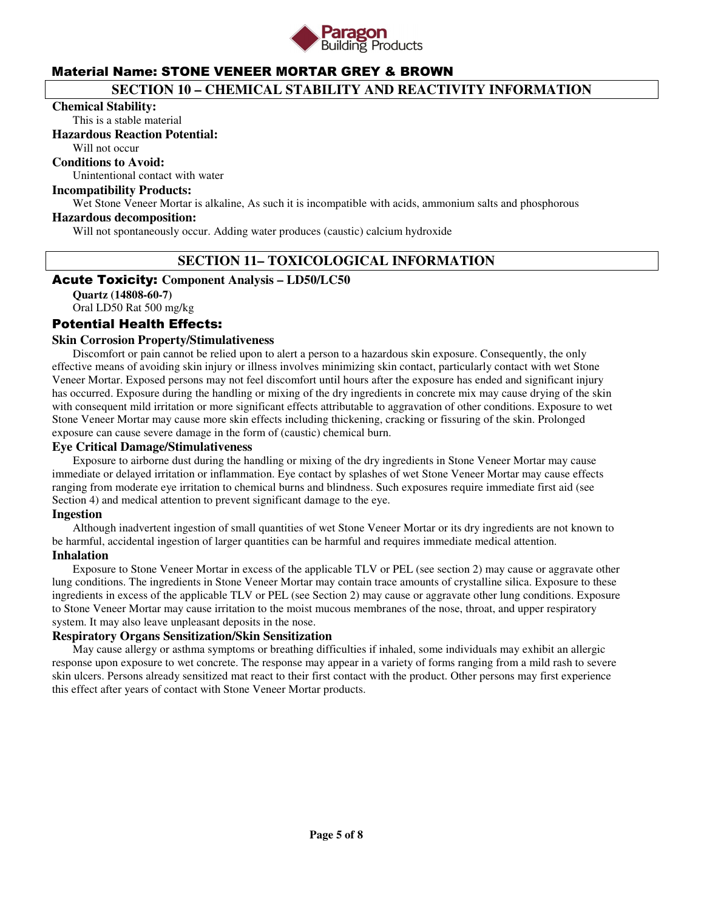

# **SECTION 10 – CHEMICAL STABILITY AND REACTIVITY INFORMATION**

#### **Chemical Stability:**

This is a stable material

#### **Hazardous Reaction Potential:**

Will not occur

### **Conditions to Avoid:**

Unintentional contact with water

### **Incompatibility Products:**

Wet Stone Veneer Mortar is alkaline, As such it is incompatible with acids, ammonium salts and phosphorous

#### **Hazardous decomposition:**

Will not spontaneously occur. Adding water produces (caustic) calcium hydroxide

### **SECTION 11– TOXICOLOGICAL INFORMATION**

### Acute Toxicity: **Component Analysis – LD50/LC50**

**Quartz (14808-60-7)**  Oral LD50 Rat 500 mg/kg

### Potential Health Effects:

### **Skin Corrosion Property/Stimulativeness**

 Discomfort or pain cannot be relied upon to alert a person to a hazardous skin exposure. Consequently, the only effective means of avoiding skin injury or illness involves minimizing skin contact, particularly contact with wet Stone Veneer Mortar. Exposed persons may not feel discomfort until hours after the exposure has ended and significant injury has occurred. Exposure during the handling or mixing of the dry ingredients in concrete mix may cause drying of the skin with consequent mild irritation or more significant effects attributable to aggravation of other conditions. Exposure to wet Stone Veneer Mortar may cause more skin effects including thickening, cracking or fissuring of the skin. Prolonged exposure can cause severe damage in the form of (caustic) chemical burn.

#### **Eye Critical Damage/Stimulativeness**

 Exposure to airborne dust during the handling or mixing of the dry ingredients in Stone Veneer Mortar may cause immediate or delayed irritation or inflammation. Eye contact by splashes of wet Stone Veneer Mortar may cause effects ranging from moderate eye irritation to chemical burns and blindness. Such exposures require immediate first aid (see Section 4) and medical attention to prevent significant damage to the eye.

#### **Ingestion**

 Although inadvertent ingestion of small quantities of wet Stone Veneer Mortar or its dry ingredients are not known to be harmful, accidental ingestion of larger quantities can be harmful and requires immediate medical attention.

### **Inhalation**

 Exposure to Stone Veneer Mortar in excess of the applicable TLV or PEL (see section 2) may cause or aggravate other lung conditions. The ingredients in Stone Veneer Mortar may contain trace amounts of crystalline silica. Exposure to these ingredients in excess of the applicable TLV or PEL (see Section 2) may cause or aggravate other lung conditions. Exposure to Stone Veneer Mortar may cause irritation to the moist mucous membranes of the nose, throat, and upper respiratory system. It may also leave unpleasant deposits in the nose.

### **Respiratory Organs Sensitization/Skin Sensitization**

 May cause allergy or asthma symptoms or breathing difficulties if inhaled, some individuals may exhibit an allergic response upon exposure to wet concrete. The response may appear in a variety of forms ranging from a mild rash to severe skin ulcers. Persons already sensitized mat react to their first contact with the product. Other persons may first experience this effect after years of contact with Stone Veneer Mortar products.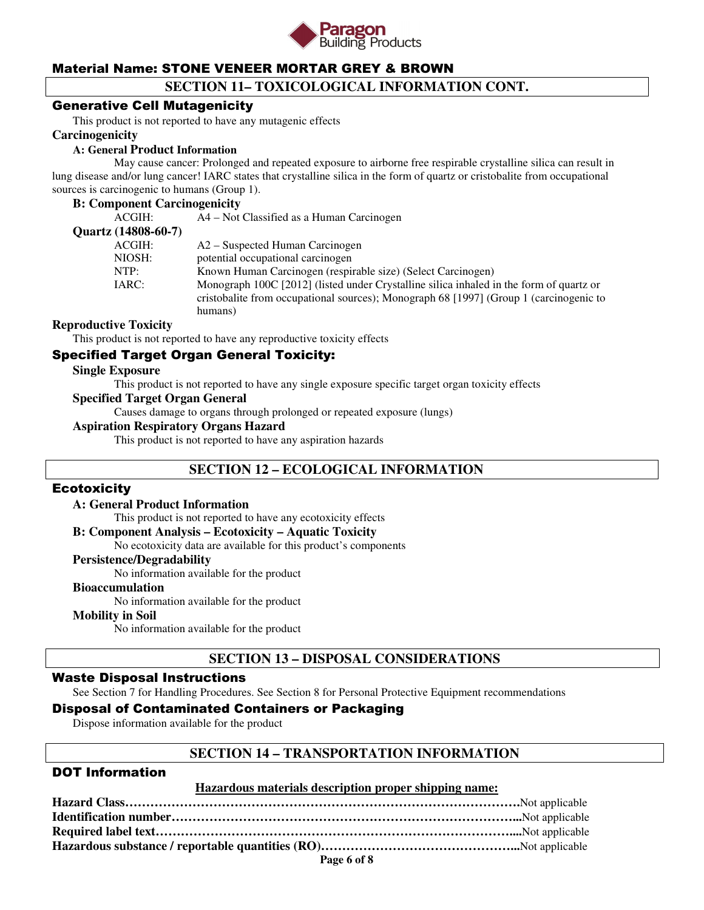

### **SECTION 11– TOXICOLOGICAL INFORMATION CONT.**

### Generative Cell Mutagenicity

This product is not reported to have any mutagenic effects

#### **Carcinogenicity**

#### **A: General Product Information**

May cause cancer: Prolonged and repeated exposure to airborne free respirable crystalline silica can result in lung disease and/or lung cancer! IARC states that crystalline silica in the form of quartz or cristobalite from occupational sources is carcinogenic to humans (Group 1).

#### **B: Component Carcinogenicity**

| ACGIH:              | A4 – Not Classified as a Human Carcinogen                                               |
|---------------------|-----------------------------------------------------------------------------------------|
| Quartz (14808-60-7) |                                                                                         |
| ACGIH:              | A2 – Suspected Human Carcinogen                                                         |
| NIOSH:              | potential occupational carcinogen                                                       |
| NTP:                | Known Human Carcinogen (respirable size) (Select Carcinogen)                            |
| IARC:               | Monograph 100C [2012] (listed under Crystalline silica inhaled in the form of quartz or |
|                     | cristobalite from occupational sources); Monograph 68 [1997] (Group 1 (carcinogenic to  |
|                     | humans)                                                                                 |
|                     |                                                                                         |

### **Reproductive Toxicity**

This product is not reported to have any reproductive toxicity effects

### Specified Target Organ General Toxicity:

#### **Single Exposure**

This product is not reported to have any single exposure specific target organ toxicity effects

#### **Specified Target Organ General**

Causes damage to organs through prolonged or repeated exposure (lungs)

### **Aspiration Respiratory Organs Hazard**

This product is not reported to have any aspiration hazards

### **SECTION 12 – ECOLOGICAL INFORMATION**

### **Ecotoxicity**

#### **A: General Product Information**

This product is not reported to have any ecotoxicity effects

#### **B: Component Analysis – Ecotoxicity – Aquatic Toxicity**

No ecotoxicity data are available for this product's components

### **Persistence/Degradability**

No information available for the product

#### **Bioaccumulation**

No information available for the product

#### **Mobility in Soil**

No information available for the product

### **SECTION 13 – DISPOSAL CONSIDERATIONS**

### Waste Disposal Instructions

See Section 7 for Handling Procedures. See Section 8 for Personal Protective Equipment recommendations

### Disposal of Contaminated Containers or Packaging

Dispose information available for the product

### **SECTION 14 – TRANSPORTATION INFORMATION**

### DOT Information

#### **Hazardous materials description proper shipping name:**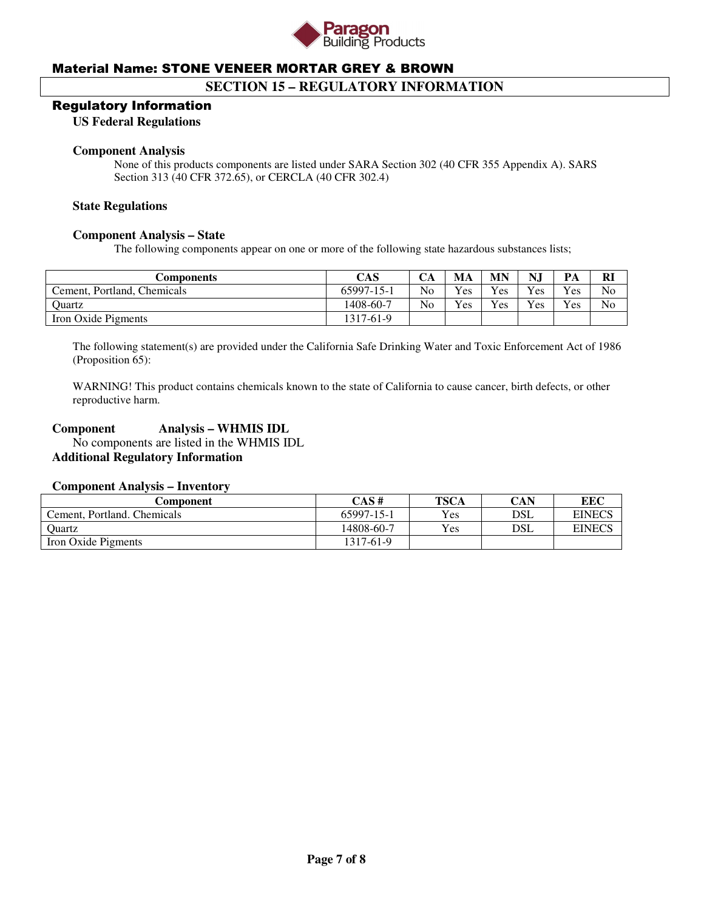

### **SECTION 15 – REGULATORY INFORMATION**

### Regulatory Information

**US Federal Regulations** 

#### **Component Analysis**

None of this products components are listed under SARA Section 302 (40 CFR 355 Appendix A). SARS Section 313 (40 CFR 372.65), or CERCLA (40 CFR 302.4)

#### **State Regulations**

#### **Component Analysis – State**

The following components appear on one or more of the following state hazardous substances lists;

| Components                  | CAS        | CА             | MA         | <b>MN</b> | NJ       | PA                    | Rl |
|-----------------------------|------------|----------------|------------|-----------|----------|-----------------------|----|
| Cement, Portland, Chemicals | 65997-15-1 | N <sub>o</sub> | <b>Yes</b> | Yes       | Yes      | $\mathbf{v}_{\rm es}$ | No |
| Ouartz                      | 1408-60-7  | No             | Yes        | Yes       | $v_{es}$ | $v_{es}$              | No |
| Iron Oxide Pigments         | 1317-61-9  |                |            |           |          |                       |    |

The following statement(s) are provided under the California Safe Drinking Water and Toxic Enforcement Act of 1986 (Proposition 65):

WARNING! This product contains chemicals known to the state of California to cause cancer, birth defects, or other reproductive harm.

### **Component Analysis – WHMIS IDL**

 No components are listed in the WHMIS IDL **Additional Regulatory Information** 

### **Component Analysis – Inventory**

| Component                   | CAS#       | <b>TSCA</b> | CAN | EEC           |
|-----------------------------|------------|-------------|-----|---------------|
| Cement, Portland, Chemicals | 65997-15-1 | Yes         | DSL | <b>EINECS</b> |
| Ouartz                      | 14808-60-7 | Yes         | DSL | <b>EINECS</b> |
| Iron Oxide Pigments         | 1317-61-9  |             |     |               |